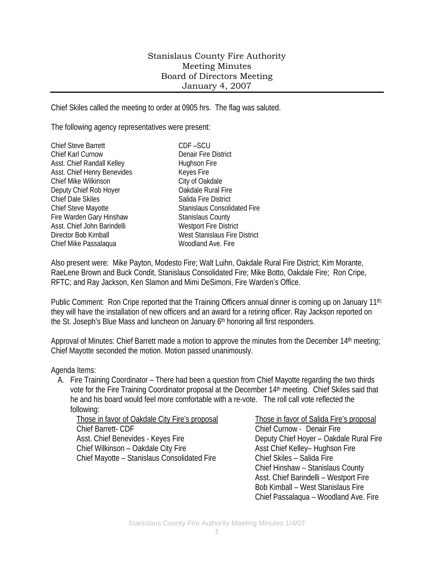## Stanislaus County Fire Authority Meeting Minutes Board of Directors Meeting January 4, 2007

Chief Skiles called the meeting to order at 0905 hrs. The flag was saluted.

The following agency representatives were present:

| Chief Steve Barrett         |
|-----------------------------|
| Chief Karl Curnow           |
| Asst. Chief Randall Kelley  |
| Asst. Chief Henry Benevides |
| <b>Chief Mike Wilkinson</b> |
| Deputy Chief Rob Hoyer      |
| <b>Chief Dale Skiles</b>    |
| <b>Chief Steve Mayotte</b>  |
| Fire Warden Gary Hinshaw    |
| Asst. Chief John Barindelli |
| Director Bob Kimball        |
| Chief Mike Passalaqua       |
|                             |

 $CDF - SCU$ Denair Fire District Hughson Fire Keyes Fire City of Oakdale **Oakdale Rural Fire** Salida Fire District Stanislaus Consolidated Fire Stanislaus County **Westport Fire District** West Stanislaus Fire District Woodland Ave. Fire.

Also present were: Mike Payton, Modesto Fire; Walt Luihn, Oakdale Rural Fire District; Kim Morante, RaeLene Brown and Buck Condit, Stanislaus Consolidated Fire; Mike Botto, Oakdale Fire; Ron Cripe, RFTC; and Ray Jackson, Ken Slamon and Mimi DeSimoni, Fire Warden's Office.

Public Comment: Ron Cripe reported that the Training Officers annual dinner is coming up on January 11th; they will have the installation of new officers and an award for a retiring officer. Ray Jackson reported on the St. Joseph's Blue Mass and luncheon on January 6<sup>th</sup> honoring all first responders.

Approval of Minutes: Chief Barrett made a motion to approve the minutes from the December 14<sup>th</sup> meeting; Chief Mayotte seconded the motion. Motion passed unanimously.

Agenda Items:

A. Fire Training Coordinator – There had been a question from Chief Mayotte regarding the two thirds vote for the Fire Training Coordinator proposal at the December 14th meeting. Chief Skiles said that he and his board would feel more comfortable with a re-vote. The roll call vote reflected the following:

Those in favor of Oakdale City Fire's proposal Those in favor of Salida Fire's proposal Chief Barrett- CDF Chief Curnow - Denair Fire Asst. Chief Benevides - Keyes Fire **Deputy Chief Hoyer – Oakdale Rural Fire** Chief Wilkinson – Oakdale City Fire Asst Chief Kelley– Hughson Fire Chief Mayotte – Stanislaus Consolidated Fire Chief Skiles – Salida Fire

 Chief Hinshaw – Stanislaus County Asst. Chief Barindelli – Westport Fire Bob Kimball – West Stanislaus Fire Chief Passalaqua – Woodland Ave. Fire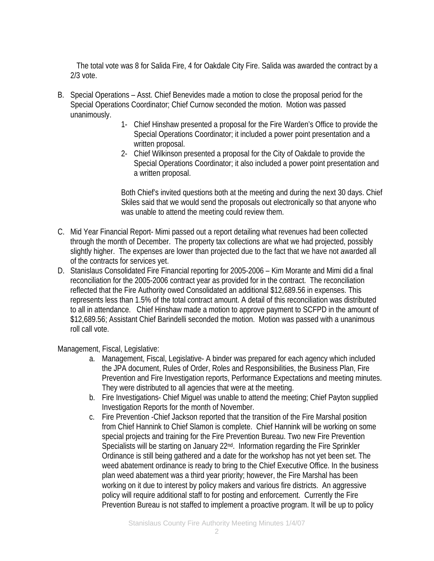The total vote was 8 for Salida Fire, 4 for Oakdale City Fire. Salida was awarded the contract by a 2/3 vote.

- B. Special Operations Asst. Chief Benevides made a motion to close the proposal period for the Special Operations Coordinator; Chief Curnow seconded the motion. Motion was passed unanimously.
	- 1- Chief Hinshaw presented a proposal for the Fire Warden's Office to provide the Special Operations Coordinator; it included a power point presentation and a written proposal.
	- 2- Chief Wilkinson presented a proposal for the City of Oakdale to provide the Special Operations Coordinator; it also included a power point presentation and a written proposal.

Both Chief's invited questions both at the meeting and during the next 30 days. Chief Skiles said that we would send the proposals out electronically so that anyone who was unable to attend the meeting could review them.

- C. Mid Year Financial Report- Mimi passed out a report detailing what revenues had been collected through the month of December. The property tax collections are what we had projected, possibly slightly higher. The expenses are lower than projected due to the fact that we have not awarded all of the contracts for services yet.
- D. Stanislaus Consolidated Fire Financial reporting for 2005-2006 Kim Morante and Mimi did a final reconciliation for the 2005-2006 contract year as provided for in the contract. The reconciliation reflected that the Fire Authority owed Consolidated an additional \$12,689.56 in expenses. This represents less than 1.5% of the total contract amount. A detail of this reconciliation was distributed to all in attendance. Chief Hinshaw made a motion to approve payment to SCFPD in the amount of \$12,689.56; Assistant Chief Barindelli seconded the motion. Motion was passed with a unanimous roll call vote.

Management, Fiscal, Legislative:

- a. Management, Fiscal, Legislative- A binder was prepared for each agency which included the JPA document, Rules of Order, Roles and Responsibilities, the Business Plan, Fire Prevention and Fire Investigation reports, Performance Expectations and meeting minutes. They were distributed to all agencies that were at the meeting.
- b. Fire Investigations- Chief Miguel was unable to attend the meeting; Chief Payton supplied Investigation Reports for the month of November.
- c. Fire Prevention -Chief Jackson reported that the transition of the Fire Marshal position from Chief Hannink to Chief Slamon is complete. Chief Hannink will be working on some special projects and training for the Fire Prevention Bureau. Two new Fire Prevention Specialists will be starting on January 22<sup>nd</sup>. Information regarding the Fire Sprinkler Ordinance is still being gathered and a date for the workshop has not yet been set. The weed abatement ordinance is ready to bring to the Chief Executive Office. In the business plan weed abatement was a third year priority; however, the Fire Marshal has been working on it due to interest by policy makers and various fire districts. An aggressive policy will require additional staff to for posting and enforcement. Currently the Fire Prevention Bureau is not staffed to implement a proactive program. It will be up to policy